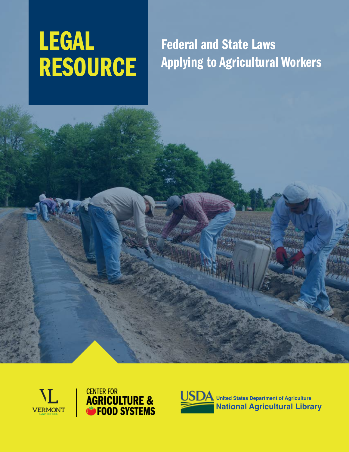# LEGAL RESOURCE

Federal and State Laws Applying to Agricultural Workers





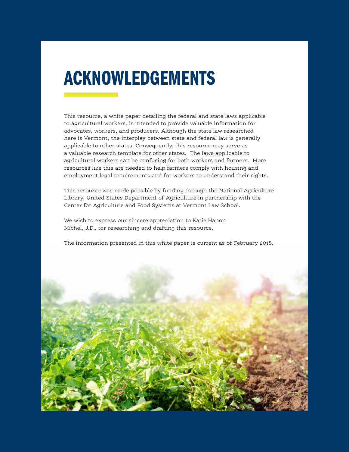## ACKNOWLEDGEMENTS

This resource, a white paper detailing the federal and state laws applicable to agricultural workers, is intended to provide valuable information for advocates, workers, and producers. Although the state law researched here is Vermont, the interplay between state and federal law is generally applicable to other states. Consequently, this resource may serve as a valuable research template for other states. The laws applicable to agricultural workers can be confusing for both workers and farmers. More resources like this are needed to help farmers comply with housing and employment legal requirements and for workers to understand their rights.

This resource was made possible by funding through the National Agriculture Library, United States Department of Agriculture in partnership with the Center for Agriculture and Food Systems at Vermont Law School.

We wish to express our sincere appreciation to Katie Hanon Michel, J.D., for researching and drafting this resource.

The information presented in this white paper is current as of February 2018.

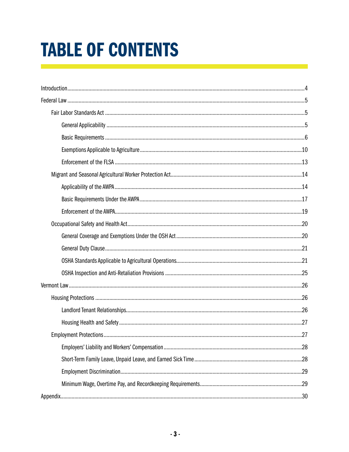## **TABLE OF CONTENTS**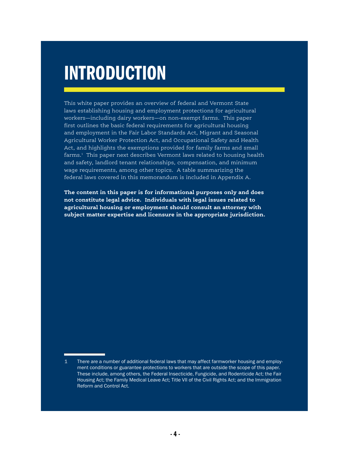## INTRODUCTION

This white paper provides an overview of federal and Vermont State laws establishing housing and employment protections for agricultural workers—including dairy workers—on non-exempt farms. This paper first outlines the basic federal requirements for agricultural housing and employment in the Fair Labor Standards Act, Migrant and Seasonal Agricultural Worker Protection Act, and Occupational Safety and Health Act, and highlights the exemptions provided for family farms and small farms.1 This paper next describes Vermont laws related to housing health and safety, landlord tenant relationships, compensation, and minimum wage requirements, among other topics. A table summarizing the federal laws covered in this memorandum is included in Appendix A.

**The content in this paper is for informational purposes only and does not constitute legal advice. Individuals with legal issues related to agricultural housing or employment should consult an attorney with subject matter expertise and licensure in the appropriate jurisdiction.** 

<sup>1</sup> There are a number of additional federal laws that may affect farmworker housing and employment conditions or guarantee protections to workers that are outside the scope of this paper. These include, among others, the Federal Insecticide, Fungicide, and Rodenticide Act; the Fair Housing Act; the Family Medical Leave Act; Title VII of the Civil Rights Act; and the Immigration Reform and Control Act.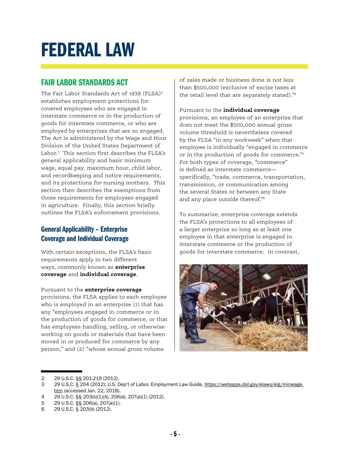## FEDERAL LAW

## FAIR LABOR STANDARDS ACT

The Fair Labor Standards Act of 1938 (FLSA)<sup>2</sup> establishes employment protections for covered employees who are engaged in interstate commerce or in the production of goods for interstate commerce, or who are employed by enterprises that are so engaged. The Act is administered by the Wage and Hour Division of the United States Department of Labor.3 This section first describes the FLSA's general applicability and basic minimum wage, equal pay, maximum hour, child labor, and recordkeeping and notice requirements, and its protections for nursing mothers. This section then describes the exemptions from those requirements for employees engaged in agriculture. Finally, this section briefly outlines the FLSA's enforcement provisions.

### General Applicability – Enterprise Coverage and Individual Coverage

With certain exceptions, the FLSA's basic requirements apply in two different ways, commonly known as **enterprise coverage** and **individual coverage**.

Pursuant to the **enterprise coverage** provisions, the FLSA applies to each employee who is employed in an enterprise (1) that has any "employees engaged in commerce or in the production of goods for commerce, or that has employees handling, selling, or otherwise working on goods or materials that have been moved in or produced for commerce by any person," and (2) "whose annual gross volume

of sales made or business done is not less than \$500,000 (exclusive of excise taxes at the retail level that are separately stated)."4

Pursuant to the **individual coverage** provisions, an employee of an enterprise that does not meet the \$500,000 annual gross volume threshold is nevertheless covered by the FLSA "in any workweek" when that employee is individually "engaged in commerce or in the production of goods for commerce."<sup>5</sup> For both types of coverage, "commerce" is defined as interstate commerce specifically, "trade, commerce, transportation, transmission, or communication among the several States or between any State and any place outside thereof."6

To summarize, enterprise coverage extends the FLSA's protections to all employees of a larger enterprise so long as at least one employee in that enterprise is engaged in interstate commerce or the production of goods for interstate commerce. In contrast,



<sup>2</sup> 29 U.S.C. §§ 201-219 (2012).

<sup>3</sup> 29 U.S.C. § 204 (2012); U.S. Dep't of Labor, Employment Law Guide, https://webapps.dol.gov/elaws/elg/minwage. htm (accessed Jan. 22, 2018).

<sup>4</sup> 29 U.S.C. §§ 203(s)(1)(A), 206(a), 207(a)(1) (2012).

<sup>5</sup> 29 U.S.C. §§ 206(a), 207(a)(1).

<sup>6</sup> 29 U.S.C. § 203(b) (2012).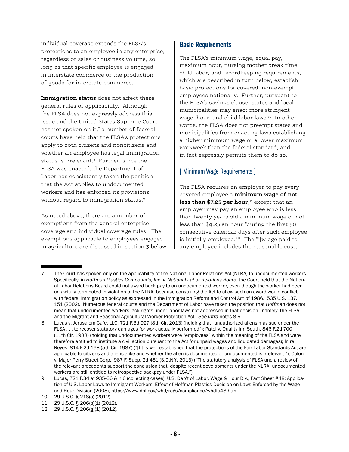individual coverage extends the FLSA's protections to an employee in any enterprise, regardless of sales or business volume, so long as that specific employee is engaged in interstate commerce or the production of goods for interstate commerce.

**Immigration status** does not affect these general rules of applicability. Although the FLSA does not expressly address this issue and the United States Supreme Court has not spoken on it,7 a number of federal courts have held that the FLSA's protections apply to both citizens and noncitizens and whether an employee has legal immigration status is irrelevant.<sup>8</sup> Further, since the FLSA was enacted, the Department of Labor has consistently taken the position that the Act applies to undocumented workers and has enforced its provisions without regard to immigration status.<sup>9</sup>

As noted above, there are a number of exemptions from the general enterprise coverage and individual coverage rules. The exemptions applicable to employees engaged in agriculture are discussed in section 3 below.

#### Basic Requirements

The FLSA's minimum wage, equal pay, maximum hour, nursing mother break time, child labor, and recordkeeping requirements, which are described in turn below, establish basic protections for covered, non-exempt employees nationally. Further, pursuant to the FLSA's savings clause, states and local municipalities may enact more stringent wage, hour, and child labor laws.<sup>10</sup> In other words, the FLSA does not preempt states and municipalities from enacting laws establishing a higher minimum wage or a lower maximum workweek than the federal standard, and in fact expressly permits them to do so.

#### [ Minimum Wage Requirements ]

The FLSA requires an employer to pay every covered employee a **minimum wage of not less than \$7.25 per hour**, 11 except that an employer may pay an employee who is less than twenty years old a minimum wage of not less than \$4.25 an hour "during the first 90 consecutive calendar days after such employee is initially employed."12 The "'[w]age paid to any employee includes the reasonable cost,

<sup>7</sup> The Court has spoken only on the applicability of the National Labor Relations Act (NLRA) to undocumented workers. Specifically, in *Hoffman Plastics Compounds, Inc. v. National Labor Relations Board*, the Court held that the National Labor Relations Board could not award back pay to an undocumented worker, even though the worker had been unlawfully terminated in violation of the NLRA, because construing the Act to allow such an award would conflict with federal immigration policy as expressed in the Immigration Reform and Control Act of 1986. 535 U.S. 137, 151 (2002). Numerous federal courts and the Department of Labor have taken the position that *Hoffman* does not mean that undocumented workers lack rights under labor laws not addressed in that decision—namely, the FLSA and the Migrant and Seasonal Agricultural Worker Protection Act. *See infra* notes 8-9.

<sup>8</sup> Lucas v. Jerusalem Cafe, LLC, 721 F.3d 927 (8th Cir. 2013) (holding that "unauthorized aliens may sue under the FLSA . . . to recover statutory damages for work actually performed"); Patel v. Quality Inn South, 846 F.2d 700 (11th Cir. 1988) (holding that undocumented workers were "employees" within the meaning of the FLSA and were therefore entitled to institute a civil action pursuant to the Act for unpaid wages and liquidated damages); In re Reyes, 814 F.2d 168 (5th Cir. 1987) ("[I]t is well established that the protections of the Fair Labor Standards Act are applicable to citizens and aliens alike and whether the alien is documented or undocumented is irrelevant."); Colon v. Major Perry Street Corp., 987 F. Supp. 2d 451 (S.D.N.Y. 2013) ("The statutory analysis of FLSA and a review of the relevant precedents support the conclusion that, despite recent developments under the NLRA, undocumented workers are still entitled to retrospective backpay under FLSA.").

<sup>9</sup> Lucas, 721 F.3d at 935-36 & n.6 (collecting cases); U.S. Dep't of Labor, Wage & Hour Div., Fact Sheet #48: Application of U.S. Labor Laws to Immigrant Workers: Effect of Hoffman Plastics Decision on Laws Enforced by the Wage and Hour Division (2008), https://www.dol.gov/whd/regs/compliance/whdfs48.htm.

<sup>10</sup> 29 U.S.C. § 218(a) (2012).

<sup>11</sup> 29 U.S.C. § 206(a)(1) (2012).

<sup>12</sup> 29 U.S.C. § 206(g)(1) (2012).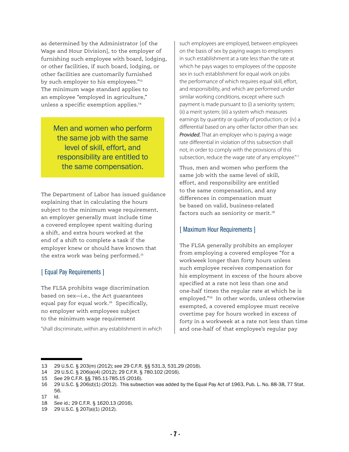as determined by the Administrator [of the Wage and Hour Division], to the employer of furnishing such employee with board, lodging, or other facilities, if such board, lodging, or other facilities are customarily furnished by such employer to his employees."<sup>13</sup> The minimum wage standard applies to an employee "employed in agriculture," unless a specific exemption applies.<sup>14</sup>

Men and women who perform the same job with the same level of skill, effort, and responsibility are entitled to the same compensation.

The Department of Labor has issued guidance explaining that in calculating the hours subject to the minimum wage requirement, an employer generally must include time a covered employee spent waiting during a shift, and extra hours worked at the end of a shift to complete a task if the employer knew or should have known that the extra work was being performed.<sup>15</sup>

#### [ Equal Pay Requirements ]

The FLSA prohibits wage discrimination based on sex—i.e., the Act guarantees equal pay for equal work.16 Specifically, no employer with employees subject to the minimum wage requirement

"shall discriminate, within any establishment in which

such employees are employed, between employees on the basis of sex by paying wages to employees in such establishment at a rate less than the rate at which he pays wages to employees of the opposite sex in such establishment for equal work on jobs the performance of which requires equal skill, effort, and responsibility, and which are performed under similar working conditions, except where such payment is made pursuant to (i) a seniority system; (ii) a merit system; (iii) a system which measures earnings by quantity or quality of production; or (iv) a differential based on any other factor other than sex: *Provided*, That an employer who is paying a wage rate differential in violation of this subsection shall not, in order to comply with the provisions of this subsection, reduce the wage rate of any employee."<sup>17</sup>

Thus, men and women who perform the same job with the same level of skill, effort, and responsibility are entitled to the same compensation, and any differences in compensation must be based on valid, business-related factors such as seniority or merit.<sup>18</sup>

#### [ Maximum Hour Requirements ]

The FLSA generally prohibits an employer from employing a covered employee "for a workweek longer than forty hours unless such employee receives compensation for his employment in excess of the hours above specified at a rate not less than one and one-half times the regular rate at which he is employed."19 In other words, unless otherwise exempted, a covered employee must receive overtime pay for hours worked in excess of forty in a workweek at a rate not less than time and one-half of that employee's regular pay

<sup>13</sup> 29 U.S.C. § 203(m) (2012); *see* 29 C.F.R. §§ 531.3, 531.29 (2016).

<sup>14</sup> 29 U.S.C. § 206(a)(4) (2012); 29 C.F.R. § 780.102 (2016).

<sup>15</sup> *See* 29 C.F.R. §§ 785.11-785.15 (2016).

<sup>16</sup> 29 U.S.C. § 206(d)(1) (2012). This subsection was added by the Equal Pay Act of 1963, Pub. L. No. 88-38, 77 Stat. 56.

<sup>17</sup> Id.

<sup>18</sup> *See* id.; 29 C.F.R. § 1620.13 (2016).

<sup>19</sup> 29 U.S.C. § 207(a)(1) (2012).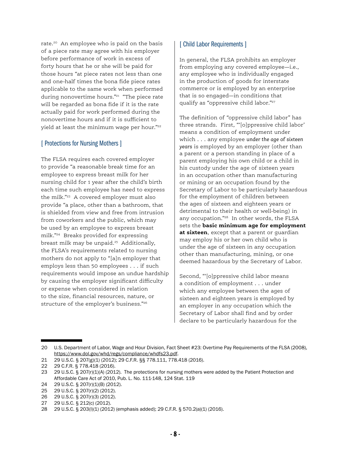rate.<sup>20</sup> An employee who is paid on the basis of a piece rate may agree with his employer before performance of work in excess of forty hours that he or she will be paid for those hours "at piece rates not less than one and one-half times the bona fide piece rates applicable to the same work when performed during nonovertime hours."<sup>21</sup> "The piece rate will be regarded as bona fide if it is the rate actually paid for work performed during the nonovertime hours and if it is sufficient to yield at least the minimum wage per hour."22

#### [ Protections for Nursing Mothers ]

The FLSA requires each covered employer to provide "a reasonable break time for an employee to express breast milk for her nursing child for 1 year after the child's birth each time such employee has need to express the milk."23 A covered employer must also provide "a place, other than a bathroom, that is shielded from view and free from intrusion from coworkers and the public, which may be used by an employee to express breast milk."24 Breaks provided for expressing breast milk may be unpaid.25 Additionally, the FLSA's requirements related to nursing mothers do not apply to "[a]n employer that employs less than 50 employees . . . if such requirements would impose an undue hardship by causing the employer significant difficulty or expense when considered in relation to the size, financial resources, nature, or structure of the employer's business."26

#### [ Child Labor Requirements ]

In general, the FLSA prohibits an employer from employing any covered employee—i.e., any employee who is individually engaged in the production of goods for interstate commerce or is employed by an enterprise that is so engaged—in conditions that qualify as "oppressive child labor."<sup>27</sup>

The definition of "oppressive child labor" has three strands. First, "'[o]ppressive child labor' means a condition of employment under which . . . any employee *under the age of sixteen years* is employed by an employer (other than a parent or a person standing in place of a parent employing his own child or a child in his custody under the age of sixteen years in an occupation other than manufacturing or mining or an occupation found by the Secretary of Labor to be particularly hazardous for the employment of children between the ages of sixteen and eighteen years or detrimental to their health or well-being) in any occupation."28 In other words, the FLSA sets the **basic minimum age for employment at sixteen**, except that a parent or guardian may employ his or her own child who is under the age of sixteen in any occupation other than manufacturing, mining, or one deemed hazardous by the Secretary of Labor.

Second, "'[o]ppressive child labor means a condition of employment . . . under which any employee between the ages of sixteen and eighteen years is employed by an employer in any occupation which the Secretary of Labor shall find and by order declare to be particularly hazardous for the

<sup>20</sup> U.S. Department of Labor, Wage and Hour Division, Fact Sheet #23: Overtime Pay Requirements of the FLSA (2008), https://www.dol.gov/whd/regs/compliance/whdfs23.pdf.

<sup>21</sup> 29 U.S.C. § 207(g)(1) (2012); 29 C.F.R. §§ 778.111, 778.418 (2016).

<sup>22</sup> 29 C.F.R. § 778.418 (2016).

<sup>23</sup> 29 U.S.C. § 207(r)(1)(A) (2012). The protections for nursing mothers were added by the Patient Protection and Affordable Care Act of 2010, Pub. L. No. 111-148, 124 Stat. 119

<sup>24</sup> 29 U.S.C. § 207(r)(1)(B) (2012).

<sup>25</sup> 29 U.S.C. § 207(r)(2) (2012).

<sup>26 29</sup> U.S.C. § 207(r)(3) (2012).<br>27 29 U.S.C. § 212(c) (2012).

<sup>27</sup> 29 U.S.C. § 212(c) (2012).

<sup>28</sup> 29 U.S.C. § 203(l)(1) (2012) (emphasis added); 29 C.F.R. § 570.2(a)(1) (2016).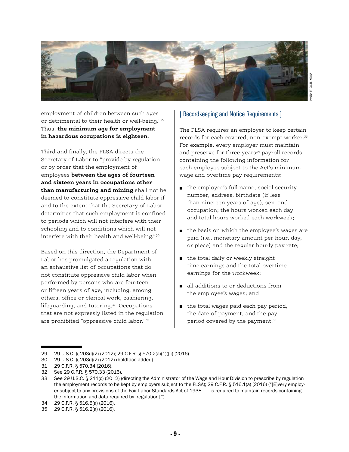

employment of children between such ages or detrimental to their health or well-being."29 Thus, **the minimum age for employment in hazardous occupations is eighteen**.

Third and finally, the FLSA directs the Secretary of Labor to "provide by regulation or by order that the employment of employees **between the ages of fourteen and sixteen years in occupations other than manufacturing and mining** shall not be deemed to constitute oppressive child labor if and to the extent that the Secretary of Labor determines that such employment is confined to periods which will not interfere with their schooling and to conditions which will not interfere with their health and well-being."30

Based on this direction, the Department of Labor has promulgated a regulation with an exhaustive list of occupations that do not constitute oppressive child labor when performed by persons who are fourteen or fifteen years of age, including, among others, office or clerical work, cashiering, lifeguarding, and tutoring.<sup>31</sup> Occupations that are not expressly listed in the regulation are prohibited "oppressive child labor."32

#### [ Recordkeeping and Notice Requirements ]

The FLSA requires an employer to keep certain records for each covered, non-exempt worker.33 For example, every employer must maintain and preserve for three years<sup>34</sup> payroll records containing the following information for each employee subject to the Act's minimum wage and overtime pay requirements:

- the employee's full name, social security number, address, birthdate (if less than nineteen years of age), sex, and occupation; the hours worked each day and total hours worked each workweek;
- $\blacksquare$  the basis on which the employee's wages are paid (i.e., monetary amount per hour, day, or piece) and the regular hourly pay rate;
- the total daily or weekly straight time earnings and the total overtime earnings for the workweek;
- all additions to or deductions from the employee's wages; and
- the total wages paid each pay period, the date of payment, and the pay period covered by the payment.<sup>35</sup>

<sup>29</sup> 29 U.S.C. § 203(l)(2) (2012); 29 C.F.R. § 570.2(a)(1)((ii) (2016).

<sup>30</sup> 29 U.S.C. § 203(l)(2) (2012) (boldface added).

<sup>31</sup> 29 C.F.R. § 570.34 (2016).

<sup>32</sup> See 29 C.F.R. § 570.33 (2016).

<sup>33</sup> *See* 29 U.S.C. § 211(c) (2012) (directing the Administrator of the Wage and Hour Division to prescribe by regulation the employment records to be kept by employers subject to the FLSA); 29 C.F.R. § 516.1(a) (2016) ("[E]very employer subject to any provisions of the Fair Labor Standards Act of 1938 . . . is required to maintain records containing the information and data required by [regulation].").

<sup>34</sup> 29 C.F.R. § 516.5(a) (2016).

<sup>35</sup> 29 C.F.R. § 516.2(a) (2016).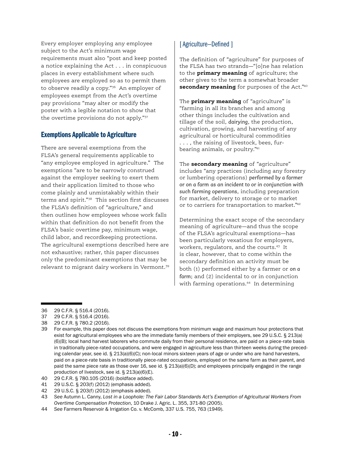Every employer employing any employee subject to the Act's minimum wage requirements must also "post and keep posted a notice explaining the Act . . . in conspicuous places in every establishment where such employees are employed so as to permit them to observe readily a copy."36 An employer of employees exempt from the Act's overtime pay provisions "may alter or modify the poster with a legible notation to show that the overtime provisions do not apply."37

#### Exemptions Applicable to Agriculture

There are several exemptions from the FLSA's general requirements applicable to "any employee employed in agriculture." The exemptions "are to be narrowly construed against the employer seeking to exert them and their application limited to those who come plainly and unmistakably within their terms and spirit."38 This section first discusses the FLSA's definition of "agriculture," and then outlines how employees whose work falls within that definition do not benefit from the FLSA's basic overtime pay, minimum wage, child labor, and recordkeeping protections. The agricultural exemptions described here are not exhaustive; rather, this paper discusses only the predominant exemptions that may be relevant to migrant dairy workers in Vermont.<sup>39</sup>

#### [ Agriculture—Defined ]

The definition of "agriculture" for purposes of the FLSA has two strands—"[o]ne has relation to the **primary meaning** of agriculture; the other gives to the term a somewhat broader **secondary meaning** for purposes of the Act."40

The **primary meaning** of "agriculture" is "farming in all its branches and among other things includes the cultivation and tillage of the soil, *dairying*, the production, cultivation, growing, and harvesting of any agricultural or horticultural commodities . . . , the raising of livestock, bees, furbearing animals, or poultry."41

The **secondary meaning** of "agriculture" includes "any practices (including any forestry or lumbering operations) *performed by a farmer or on a farm as an incident to or in conjunction with such farming operations*, including preparation for market, delivery to storage or to market or to carriers for transportation to market."42

Determining the exact scope of the secondary meaning of agriculture—and thus the scope of the FLSA's agricultural exemptions—has been particularly vexatious for employers, workers, regulators, and the courts.43 It is clear, however, that to come within the secondary definition an activity must be both (1) performed either by a farmer or *on a farm*; and (2) incidental to or in conjunction with farming operations.<sup>44</sup> In determining

<sup>36</sup> 29 C.F.R. § 516.4 (2016).

<sup>37</sup> 29 C.F.R. § 516.4 (2016).

<sup>38</sup> 29 C.F.R. § 780.2 (2016).

<sup>39</sup> For example, this paper does not discuss the exemptions from minimum wage and maximum hour protections that exist for agricultural employees who are the immediate family members of their employers, see 29 U.S.C. § 213(a) (6)(B); local hand harvest laborers who commute daily from their personal residence, are paid on a piece-rate basis in traditionally piece-rated occupations, and were engaged in agriculture less than thirteen weeks during the preceding calendar year, see id. § 213(a)(6)(C); non-local minors sixteen years of age or under who are hand harvesters, paid on a piece-rate basis in traditionally piece-rated occupations, employed on the same farm as their parent, and paid the same piece rate as those over 16, see id. § 213(a)(6)(D); and employees principally engaged in the range production of livestock, see id. § 213(a)(6)(E).

<sup>40</sup> 29 C.F.R. § 780.105 (2016) (boldface added).

<sup>41</sup> 29 U.S.C. § 203(f) (2012) (emphasis added).

<sup>42</sup> 29 U.S.C. § 203(f) (2012) (emphasis added).

<sup>43</sup> *See* Autumn L. Canny, *Lost in a Loophole: The Fair Labor Standards Act's Exemption of Agricultural Workers From Overtime Compensation Protection*, 10 Drake J. Agric. L. 355, 371-80 (2005).

<sup>44</sup> *See* Farmers Reservoir & Irrigation Co. v. McComb, 337 U.S. 755, 763 (1949).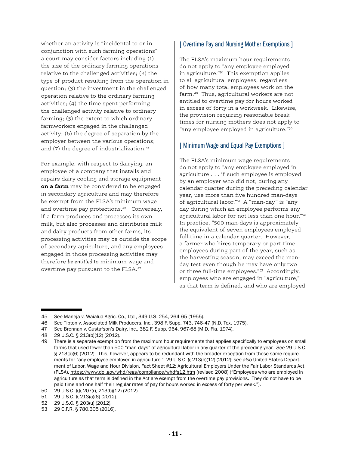whether an activity is "incidental to or in conjunction with such farming operations" a court may consider factors including (1) the size of the ordinary farming operations relative to the challenged activities; (2) the type of product resulting from the operation in question; (3) the investment in the challenged operation relative to the ordinary farming activities; (4) the time spent performing the challenged activity relative to ordinary farming; (5) the extent to which ordinary farmworkers engaged in the challenged activity; (6) the degree of separation by the employer between the various operations; and (7) the degree of industrialization.<sup>45</sup>

For example, with respect to dairying, an employee of a company that installs and repairs dairy cooling and storage equipment **on a farm** may be considered to be engaged in secondary agriculture and may therefore be exempt from the FLSA's minimum wage and overtime pay protections.46 Conversely, if a farm produces and processes its own milk, but also processes and distributes milk and dairy products from other farms, its processing activities may be outside the scope of secondary agriculture, and any employees engaged in those processing activities may therefore *be entitled to* minimum wage and overtime pay pursuant to the FLSA.47

#### [ Overtime Pay and Nursing Mother Exemptions ]

The FLSA's maximum hour requirements do not apply to "any employee employed in agriculture."48 This exemption applies to all agricultural employees, regardless of how many total employees work on the farm.49 Thus, agricultural workers are not entitled to overtime pay for hours worked in excess of forty in a workweek. Likewise, the provision requiring reasonable break times for nursing mothers does not apply to "any employee employed in agriculture."50

#### [ Minimum Wage and Equal Pay Exemptions ]

The FLSA's minimum wage requirements do not apply to "any employee employed in agriculture . . . if such employee is employed by an employer who did not, during any calendar quarter during the preceding calendar year, use more than five hundred man-days of agricultural labor."51 A "man-day" is "any day during which an employee performs any agricultural labor for not less than one hour."52 In practice, "500 man-days is approximately the equivalent of seven employees employed full-time in a calendar quarter. However, a farmer who hires temporary or part-time employees during part of the year, such as the harvesting season, may exceed the manday test even though he may have only two or three full-time employees."<sup>53</sup> Accordingly, employees who are engaged in "agriculture," as that term is defined, and who are employed

<sup>45</sup> *See* Maneja v. Waialua Agric. Co., Ltd*.*, 349 U.S. 254, 264-65 (1955).

<sup>46</sup> *See* Tipton v. Associated Milk Producers, Inc., 398 F. Supp. 743, 746-47 (N.D. Tex. 1975).

<sup>47</sup> *See* Brennan v. Gustafson's Dairy, Inc., 382 F. Supp. 964, 967-68 (M.D. Fla. 1974).

<sup>48</sup> 29 U.S.C. § 213(b)(12) (2012).

<sup>49</sup> There is a separate exemption from the maximum hour requirements that applies specifically to employees on small farms that used fewer than 500 "man-days" of agricultural labor in any quarter of the preceding year. *See* 29 U.S.C. § 213(a)(6) (2012). This, however, appears to be redundant with the broader exception from those same requirements for "any employee employed in agriculture." 29 U.S.C. § 213(b)(12) (2012); *see also* United States Department of Labor, Wage and Hour Division, Fact Sheet #12: Agricultural Employers Under the Fair Labor Standards Act (FLSA), https://www.dol.gov/whd/regs/compliance/whdfs12.htm (revised 2008) ("Employees who are employed in agriculture as that term is defined in the Act are exempt from the overtime pay provisions. They do not have to be paid time and one half their regular rates of pay for hours worked in excess of forty per week.").

<sup>50 29</sup> U.S.C. §§ 207(r), 213(b)(12) (2012).

<sup>51 29</sup> U.S.C. § 213(a)(6) (2012).

<sup>52 29</sup> U.S.C. § 203(u) (2012).

<sup>53 29</sup> C.F.R. § 780.305 (2016).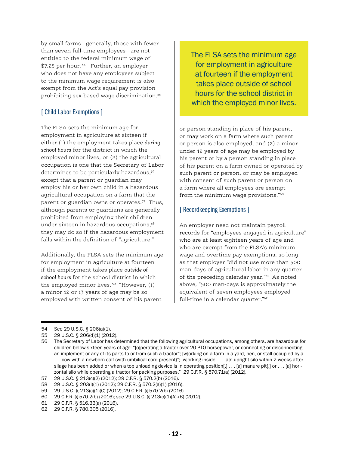by small farms—generally, those with fewer than seven full-time employees—are not entitled to the federal minimum wage of \$7.25 per hour. <sup>54</sup> Further, an employer who does not have any employees subject to the minimum wage requirement is also exempt from the Act's equal pay provision prohibiting sex-based wage discrimination.55

#### [ Child Labor Exemptions ]

The FLSA sets the minimum age for employment in agriculture at sixteen if either (1) the employment takes place *during school hours* for the district in which the employed minor lives, or (2) the agricultural occupation is one that the Secretary of Labor determines to be particularly hazardous,<sup>56</sup> except that a parent or guardian may employ his or her own child in a hazardous agricultural occupation on a farm that the parent or guardian owns or operates.<sup>57</sup> Thus, although parents or guardians are generally prohibited from employing their children under sixteen in hazardous occupations.<sup>58</sup> they may do so if the hazardous employment falls within the definition of "agriculture."

Additionally, the FLSA sets the minimum age for employment in agriculture at fourteen if the employment takes place *outside of school hours* for the school district in which the employed minor lives. <sup>59</sup> "However, (1) a minor 12 or 13 years of age may be so employed with written consent of his parent

The FLSA sets the minimum age for employment in agriculture at fourteen if the employment takes place outside of school hours for the school district in which the employed minor lives.

or person standing in place of his parent, or may work on a farm where such parent or person is also employed, and (2) a minor under 12 years of age may be employed by his parent or by a person standing in place of his parent on a farm owned or operated by such parent or person, or may be employed with consent of such parent or person on a farm where all employees are exempt from the minimum wage provisions."<sup>60</sup>

#### [ Recordkeeping Exemptions ]

An employer need not maintain payroll records for "employees engaged in agriculture" who are at least eighteen years of age and who are exempt from the FLSA's minimum wage and overtime pay exemptions, so long as that employer "did not use more than 500 man-days of agricultural labor in any quarter of the preceding calendar year."61 As noted above, "500 man-days is approximately the equivalent of seven employees employed full-time in a calendar quarter."<sup>62</sup>

<sup>54</sup> *See* 29 U.S.C. § 206(a)(1).

<sup>55 29</sup> U.S.C. § 206(d)(1) (2012).

<sup>56</sup> The Secretary of Labor has determined that the following agricultural occupations, among others, are hazardous for children below sixteen years of age: "[o]perating a tractor over 20 PTO horsepower, or connecting or disconnecting an implement or any of its parts to or from such a tractor"; [w]orking on a farm in a yard, pen, or stall occupied by a . . . cow with a newborn calf (with umbilical cord present)"; [w]orking inside . . . [a]n upright silo within 2 weeks after silage has been added or when a top unloading device is in operating position[,]  $\dots$  [a] manure pit[,] or  $\dots$  [a] horizontal silo while operating a tractor for packing purposes." 29 C.F.R. § 570.71(a) (2012).

<sup>57</sup> 29 U.S.C. § 213(c)(2) (2012); 29 C.F.R. § 570.2(b) (2016).

<sup>58 29</sup> U.S.C. § 203(l)(1) (2012); 29 C.F.R. § 570.2(a)(1) (2016).

<sup>59</sup> 29 U.S.C. § 213(c)(1)(C) (2012); 29 C.F.R. § 570.2(b) (2016).

<sup>60 29</sup> C.F.R. § 570.2(b) (2016); *see* 29 U.S.C. § 213(c)(1)(A)-(B) (2012).

<sup>61 29</sup> C.F.R. § 516.33(a) (2016).

<sup>62 29</sup> C.F.R. § 780.305 (2016).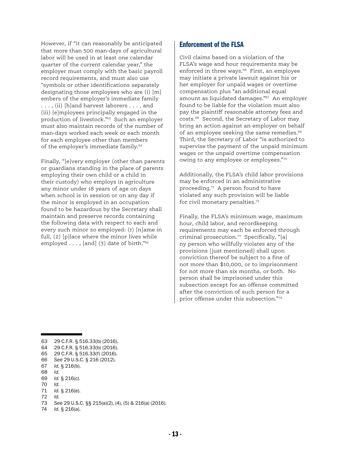However, if "it can reasonably be anticipated that more than 500 man-days of agricultural labor will be used in at least one calendar quarter of the current calendar year," the employer must comply with the basic payroll record requirements, and must also use "symbols or other identifications separately designating those employees who are (i) [m] embers of the employer's immediate family . . . , (ii) [h]and harvest laborers . . . , and (iii) [e]mployees principally engaged in the production of livestock."63 Such an employer must also maintain records of the number of man-days worked each week or each month for each employee other than members of the employer's immediate family.<sup>64</sup>

Finally, "[e]very employer (other than parents or guardians standing in the place of parents employing their own child or a child in their custody) who employs in agriculture any minor under 18 years of age on days when school is in session or on any day if the minor is employed in an occupation found to be hazardous by the Secretary shall maintain and preserve records containing the following data with respect to each and every such minor so employed: (1) [n]ame in full, (2) [p]lace where the minor lives while employed . . . , [and] (3) date of birth."65

#### Enforcement of the FLSA

Civil claims based on a violation of the FLSA's wage and hour requirements may be enforced in three ways. $66$  First, an employee may initiate a private lawsuit against his or her employer for unpaid wages or overtime compensation plus "an additional equal amount as liquidated damages."67 An employer found to be liable for the violation must also pay the plaintiff reasonable attorney fees and costs.68 Second, the Secretary of Labor may bring an action against an employer on behalf of an employee seeking the same remedies.<sup>69</sup> Third, the Secretary of Labor "is authorized to supervise the payment of the unpaid minimum wages or the unpaid overtime compensation owing to any employee or employees."70

Additionally, the FLSA's child labor provisions may be enforced in an administrative proceeding.<sup>71</sup> A person found to have violated any such provision will be liable for civil monetary penalties.72

Finally, the FLSA's minimum wage, maximum hour, child labor, and recordkeeping requirements may each be enforced through criminal prosecution.73 Specifically, "[a] ny person who willfully violates any of the provisions [just mentioned] shall upon conviction thereof be subject to a fine of not more than \$10,000, or to imprisonment for not more than six months, or both. No person shall be imprisoned under this subsection except for an offense committed after the conviction of such person for a prior offense under this subsection."74

- 69 *Id.* § 216(c). 70 *Id.*
- 

- 
- 73 *See* 29 U.S.C. §§ 215(a)(2), (4), (5) & 216(a) (2016).
- 74 *Id.* § 216(a).

<sup>63 29</sup> C.F.R. § 516.33(b) (2016).

<sup>64 29</sup> C.F.R. § 516.33(b) (2016).

<sup>65 29</sup> C.F.R. § 516.33(f) (2016).

<sup>66</sup> *See* 29 U.S.C. § 216 (2012).

<sup>67</sup> *Id.* § 216(b).

<sup>68</sup> *Id.*

<sup>71</sup> *Id.* § 216(e). 72 *Id.*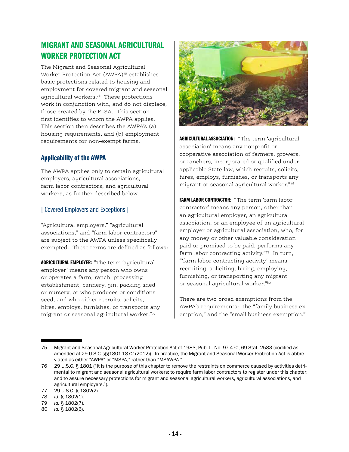## MIGRANT AND SEASONAL AGRICULTURAL WORKER PROTECTION ACT

The Migrant and Seasonal Agricultural Worker Protection Act (AWPA)75 establishes basic protections related to housing and employment for covered migrant and seasonal agricultural workers.76 These protections work in conjunction with, and do not displace, those created by the FLSA. This section first identifies to whom the AWPA applies. This section then describes the AWPA's (a) housing requirements, and (b) employment requirements for non-exempt farms.

### Applicability of the AWPA

The AWPA applies only to certain agricultural employers, agricultural associations, farm labor contractors, and agricultural workers, as further described below.

#### [ Covered Employers and Exceptions ]

"Agricultural employers," "agricultural associations," and "farm labor contractors" are subject to the AWPA unless specifically exempted. These terms are defined as follows:

AGRICULTURAL EMPLOYER: "The term 'agricultural employer' means any person who owns or operates a farm, ranch, processing establishment, cannery, gin, packing shed or nursery, or who produces or conditions seed, and who either recruits, solicits, hires, employs, furnishes, or transports any migrant or seasonal agricultural worker."77



AGRICULTURAL ASSOCIATION: "The term 'agricultural association' means any nonprofit or cooperative association of farmers, growers, or ranchers, incorporated or qualified under applicable State law, which recruits, solicits, hires, employs, furnishes, or transports any migrant or seasonal agricultural worker."78

FARM LABOR CONTRACTOR: "The term 'farm labor contractor' means any person, other than an agricultural employer, an agricultural association, or an employee of an agricultural employer or agricultural association, who, for any money or other valuable consideration paid or promised to be paid, performs any farm labor contracting activity."79 In turn, "'farm labor contracting activity' means recruiting, soliciting, hiring, employing, furnishing, or transporting any migrant or seasonal agricultural worker."80

There are two broad exemptions from the AWPA's requirements: the "family business exemption," and the "small business exemption."

<sup>75</sup> Migrant and Seasonal Agricultural Worker Protection Act of 1983, Pub. L. No. 97-470, 69 Stat. 2583 (codified as amended at 29 U.S.C. §§1801-1872 (2012)). In practice, the Migrant and Seasonal Worker Protection Act is abbreviated as either "AWPA" or "MSPA," rather than "MSAWPA."

<sup>76 29</sup> U.S.C. § 1801 ("It is the purpose of this chapter to remove the restraints on commerce caused by activities detrimental to migrant and seasonal agricultural workers; to require farm labor contractors to register under this chapter; and to assure necessary protections for migrant and seasonal agricultural workers, agricultural associations, and agricultural employers.").

<sup>77 29</sup> U.S.C. § 1802(2).

<sup>78</sup> *Id.* § 1802(1).

<sup>79</sup> *Id.* § 1802(7).

<sup>80</sup> *Id.* § 1802(6).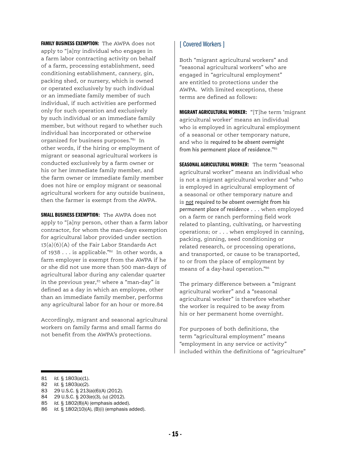FAMILY BUSINESS EXEMPTION: The AWPA does not apply to "[a]ny individual who engages in a farm labor contracting activity on behalf of a farm, processing establishment, seed conditioning establishment, cannery, gin, packing shed, or nursery, which is owned or operated exclusively by such individual or an immediate family member of such individual, if such activities are performed only for such operation and exclusively by such individual or an immediate family member, but without regard to whether such individual has incorporated or otherwise organized for business purposes."81 In other words, if the hiring or employment of migrant or seasonal agricultural workers is conducted exclusively by a farm owner or his or her immediate family member, and the farm owner or immediate family member does not hire or employ migrant or seasonal agricultural workers for any outside business, then the farmer is exempt from the AWPA.

SMALL BUSINESS EXEMPTION: The AWPA does not apply to "[a]ny person, other than a farm labor contractor, for whom the man-days exemption for agricultural labor provided under section 13(a)(6)(A) of the Fair Labor Standards Act of 1938 . . . is applicable."82 In other words, a farm employer is exempt from the AWPA if he or she did not use more than 500 man-days of agricultural labor during any calendar quarter in the previous year, $83$  where a "man-day" is defined as a day in which an employee, other than an immediate family member, performs any agricultural labor for an hour or more.84

Accordingly, migrant and seasonal agricultural workers on family farms and small farms do not benefit from the AWPA's protections.

#### [ Covered Workers ]

Both "migrant agricultural workers" and "seasonal agricultural workers" who are engaged in "agricultural employment" are entitled to protections under the AWPA. With limited exceptions, these terms are defined as follows:

MIGRANT AGRICULTURAL WORKER: "[T]he term 'migrant agricultural worker' means an individual who is employed in agricultural employment of a seasonal or other temporary nature, and who is *required to be absent overnight from his permanent place of residence*."85

SEASONAL AGRICULTURAL WORKER: The term "seasonal agricultural worker" means an individual who is not a migrant agricultural worker and "who is employed in agricultural employment of a seasonal or other temporary nature and is *not required to be absent overnight from his permanent place of residence* . . . when employed on a farm or ranch performing field work related to planting, cultivating, or harvesting operations; or . . . when employed in canning, packing, ginning, seed conditioning or related research, or processing operations, and transported, or cause to be transported, to or from the place of employment by means of a day-haul operation."86

The primary difference between a "migrant agricultural worker" and a "seasonal agricultural worker" is therefore whether the worker is required to be away from his or her permanent home overnight.

For purposes of both definitions, the term "agricultural employment" means "employment in any service or activity" included within the definitions of "agriculture"

- 82 *Id.* § 1803(a)(2).
- 83 29 U.S.C. § 213(a)(6)(A) (2012).
- 84 29 U.S.C. § 203(e)(3), (u) (2012).
- 85 *Id.* § 1802(8)(A) (emphasis added).
- 86 *Id.* § 1802(10)(A), (B)(i) (emphasis added).

<sup>81</sup> *Id.* § 1803(a)(1).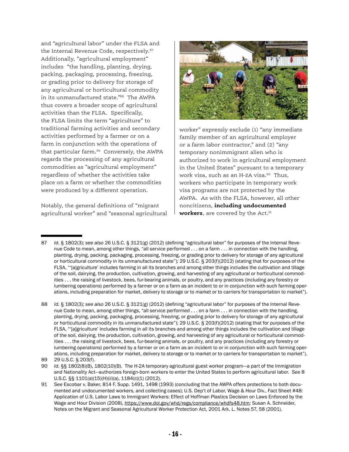and "agricultural labor" under the FLSA and the Internal Revenue Code, respectively.<sup>87</sup> Additionally, "agricultural employment" includes "the handling, planting, drying, packing, packaging, processing, freezing, or grading prior to delivery for storage of any agricultural or horticultural commodity in its unmanufactured state."88 The AWPA thus covers a broader scope of agricultural activities than the FLSA. Specifically, the FLSA limits the term "agriculture" to traditional farming activities and secondary activities performed by a farmer or on a farm in conjunction with the operations of that particular farm.<sup>89</sup> Conversely, the AWPA regards the processing of any agricultural commodities as "agricultural employment" regardless of whether the activities take place on a farm or whether the commodities were produced by a different operation.

Notably, the general definitions of "migrant agricultural worker" and "seasonal agricultural



worker" expressly exclude (1) "any immediate family member of an agricultural employer or a farm labor contractor," and (2) "any temporary nonimmigrant alien who is authorized to work in agricultural employment in the United States" pursuant to a temporary work visa, such as an H-2A visa.<sup>90</sup> Thus, workers who participate in temporary work visa programs are not protected by the AWPA. As with the FLSA, however, all other noncitizens, **including undocumented**  workers, are covered by the Act.<sup>91</sup>

<sup>87</sup> *Id.* § 1802(3); *see also* 26 U.S.C. § 3121(g) (2012) (defining "agricultural labor" for purposes of the Internal Revenue Code to mean, among other things, "all service performed . . . on a farm . . . in connection with the handling, planting, drying, packing, packaging, processing, freezing, or grading prior to delivery for storage of any agricultural or horticultural commodity in its unmanufactured state"); 29 U.S.C. § 203(f)(2012) (stating that for purposes of the FLSA, "'[a]griculture' includes farming in all its branches and among other things includes the cultivation and tillage of the soil, dairying, the production, cultivation, growing, and harvesting of any agricultural or horticultural commodities . . . the raising of livestock, bees, fur-bearing animals, or poultry, and any practices (including any forestry or lumbering operations) performed by a farmer or on a farm as an incident to or in conjunction with such farming operations, including preparation for market, delivery to storage or to market or to carriers for transportation to market").

<sup>88</sup> *Id.* § 1802(3); *see also* 26 U.S.C. § 3121(g) (2012) (defining "agricultural labor" for purposes of the Internal Revenue Code to mean, among other things, "all service performed . . . on a farm . . . in connection with the handling, planting, drying, packing, packaging, processing, freezing, or grading prior to delivery for storage of any agricultural or horticultural commodity in its unmanufactured state"); 29 U.S.C. § 203(f)(2012) (stating that for purposes of the FLSA, "'[a]griculture' includes farming in all its branches and among other things includes the cultivation and tillage of the soil, dairying, the production, cultivation, growing, and harvesting of any agricultural or horticultural commodities . . . the raising of livestock, bees, fur-bearing animals, or poultry, and any practices (including any forestry or lumbering operations) performed by a farmer or on a farm as an incident to or in conjunction with such farming operations, including preparation for market, delivery to storage or to market or to carriers for transportation to market").

<sup>89 29</sup> U.S.C. § 203(f).

<sup>90</sup> *Id.* §§ 1802(8)(B), 1802(10)(B). The H-2A temporary agricultural guest worker program—a part of the Immigration and Nationality Act—authorizes foreign-born workers to enter the United States to perform agricultural labor. *See* 8 U.S.C. §§ 1101(a)(15)(H)(ii)(a), 1184(c)(1) (2012).

<sup>91</sup> *See* Escobar v. Baker, 814 F. Supp. 1491, 1498 (1993) (concluding that the AWPA offers protections to both documented and undocumented workers, and collecting cases); U.S. Dep't of Labor, Wage & Hour Div., Fact Sheet #48: Application of U.S. Labor Laws to Immigrant Workers: Effect of Hoffman Plastics Decision on Laws Enforced by the Wage and Hour Division (2008), https://www.dol.gov/whd/regs/compliance/whdfs48.htm; Susan A. Schneider, Notes on the Migrant and Seasonal Agricultural Worker Protection Act, 2001 Ark. L. Notes 57, 58 (2001).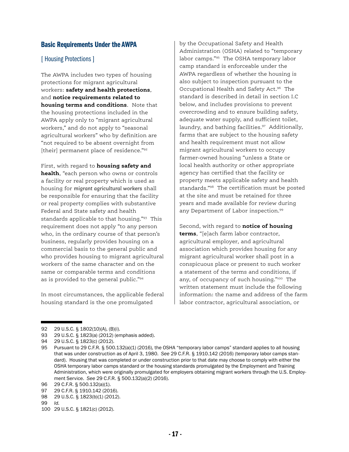#### Basic Requirements Under the AWPA

#### [ Housing Protections ]

The AWPA includes two types of housing protections for migrant agricultural workers: **safety and health protections**, and **notice requirements related to housing terms and conditions**. Note that the housing protections included in the AWPA apply only to "migrant agricultural workers," and do not apply to "seasonal agricultural workers" who by definition are "not required to be absent overnight from [their] permanent place of residence."92

First, with regard to **housing safety and health**, "each person who owns or controls a facility or real property which is used as housing for *migrant agricultural workers* shall be responsible for ensuring that the facility or real property complies with substantive Federal and State safety and health standards applicable to that housing."93 This requirement does not apply "to any person who, in the ordinary course of that person's business, regularly provides housing on a commercial basis to the general public and who provides housing to migrant agricultural workers of the same character and on the same or comparable terms and conditions as is provided to the general public."94

In most circumstances, the applicable federal housing standard is the one promulgated

by the Occupational Safety and Health Administration (OSHA) related to "temporary labor camps."95 The OSHA temporary labor camp standard is enforceable under the AWPA regardless of whether the housing is also subject to inspection pursuant to the Occupational Health and Safety Act.<sup>96</sup> The standard is described in detail in section I.C below, and includes provisions to prevent overcrowding and to ensure building safety, adequate water supply, and sufficient toilet, laundry, and bathing facilities.<sup>97</sup> Additionally, farms that are subject to the housing safety and health requirement must not allow migrant agricultural workers to occupy farmer-owned housing "unless a State or local health authority or other appropriate agency has certified that the facility or property meets applicable safety and health standards."98 The certification must be posted at the site and must be retained for three years and made available for review during any Department of Labor inspection.<sup>99</sup>

Second, with regard to **notice of housing terms**, "[e]ach farm labor contractor, agricultural employer, and agricultural association which provides housing for any migrant agricultural worker shall post in a conspicuous place or present to such worker a statement of the terms and conditions, if any, of occupancy of such housing."100 The written statement must include the following information: the name and address of the farm labor contractor, agricultural association, or

<sup>92 29</sup> U.S.C. § 1802(10)(A), (B)(i).

<sup>93 29</sup> U.S.C. § 1823(a) (2012) (emphasis added).

<sup>94 29</sup> U.S.C. § 1823(c) (2012).

<sup>95</sup> Pursuant to 29 C.F.R. § 500.132(a)(1) (2016), the OSHA "temporary labor camps" standard applies to all housing that was under construction as of April 3, 1980. *See* 29 C.F.R. § 1910.142 (2016) (temporary labor camps standard). Housing that was completed or under construction prior to that date may choose to comply with either the OSHA temporary labor camps standard or the housing standards promulgated by the Employment and Training Administration, which were originally promulgated for employers obtaining migrant workers through the U.S. Employment Service. *See* 29 C.F.R. § 500.132(a)(2) (2016).

<sup>96</sup> 29 C.F.R. § 500.132(a)(1).

<sup>97 29</sup> C.F.R. § 1910.142 (2016).

<sup>98</sup> 29 U.S.C. § 1823(b)(1) (2012).

<sup>99</sup> *Id.*

<sup>100</sup> 29 U.S.C. § 1821(c) (2012).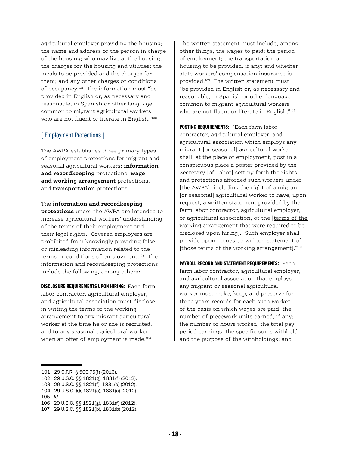agricultural employer providing the housing; the name and address of the person in charge of the housing; who may live at the housing; the charges for the housing and utilities; the meals to be provided and the charges for them; and any other charges or conditions of occupancy.101 The information must "be provided in English or, as necessary and reasonable, in Spanish or other language common to migrant agricultural workers who are not fluent or literate in English."<sup>102</sup>

#### [ Employment Protections ]

The AWPA establishes three primary types of employment protections for migrant and seasonal agricultural workers: **information and recordkeeping** protections, **wage and working arrangement** protections, and **transportation** protections.

The **information and recordkeeping protections** under the AWPA are intended to increase agricultural workers' understanding of the terms of their employment and their legal rights. Covered employers are prohibited from knowingly providing false or misleading information related to the terms or conditions of employment.103 The information and recordkeeping protections include the following, among others:

DISCLOSURE REQUIREMENTS UPON HIRING: Each farm labor contractor, agricultural employer, and agricultural association must disclose in writing the terms of the working arrangement to any migrant agricultural worker at the time he or she is recruited, and to any seasonal agricultural worker when an offer of employment is made.<sup>104</sup>

The written statement must include, among other things, the wages to paid; the period of employment; the transportation or housing to be provided, if any; and whether state workers' compensation insurance is provided.105 The written statement must "be provided in English or, as necessary and reasonable, in Spanish or other language common to migrant agricultural workers who are not fluent or literate in English."<sup>106</sup>

POSTING REQUIREMENTS: "Each farm labor contractor, agricultural employer, and agricultural association which employs any migrant [or seasonal] agricultural worker shall, at the place of employment, post in a conspicuous place a poster provided by the Secretary [of Labor] setting forth the rights and protections afforded such workers under [the AWPA], including the right of a migrant [or seasonal] agricultural worker to have, upon request, a written statement provided by the farm labor contractor, agricultural employer, or agricultural association, of the [terms of the working arrangement that were required to be disclosed upon hiring]. Such employer shall provide upon request, a written statement of [those terms of the working arrangement]."107

PAYROLL RECORD AND STATEMENT REQUIREMENTS: Each farm labor contractor, agricultural employer, and agricultural association that employs any migrant or seasonal agricultural worker must make, keep, and preserve for three years records for each such worker of the basis on which wages are paid; the number of piecework units earned, if any; the number of hours worked; the total pay period earnings; the specific sums withheld and the purpose of the withholdings; and

104 29 U.S.C. §§ 1821(a), 1831(a) (2012).

<sup>101</sup> 29 C.F.R. § 500.75(f) (2016).

<sup>102</sup> 29 U.S.C. §§ 1821(g), 1831(f) (2012).

<sup>103</sup> 29 U.S.C. §§ 1821(f), 1831(e) (2012).

<sup>105</sup> *Id.*

<sup>106</sup> 29 U.S.C. §§ 1821(g), 1831(f) (2012).

<sup>107</sup> 29 U.S.C. §§ 1821(b), 1831(b) (2012).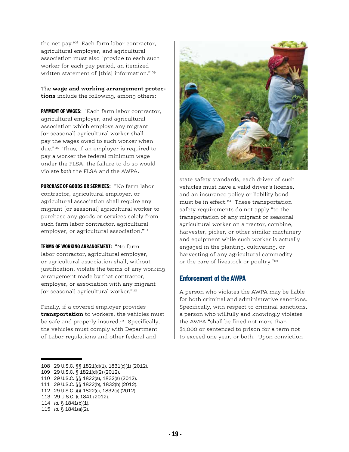the net pay.108 Each farm labor contractor, agricultural employer, and agricultural association must also "provide to each such worker for each pay period, an itemized written statement of [this] information."109

The **wage and working arrangement protections** include the following, among others:

PAYMENT OF WAGES: "Each farm labor contractor, agricultural employer, and agricultural association which employs any migrant [or seasonal] agricultural worker shall pay the wages owed to such worker when due."110 Thus, if an employer is required to pay a worker the federal minimum wage under the FLSA, the failure to do so would violate *both* the FLSA and the AWPA.

PURCHASE OF GOODS OR SERVICES: "No farm labor contractor, agricultural employer, or agricultural association shall require any migrant [or seasonal] agricultural worker to purchase any goods or services solely from such farm labor contractor, agricultural employer, or agricultural association."<sup>111</sup>

TERMS OF WORKING ARRANGEMENT: "No farm labor contractor, agricultural employer, or agricultural association shall, without justification, violate the terms of any working arrangement made by that contractor, employer, or association with any migrant [or seasonal] agricultural worker."<sup>112</sup>

Finally, if a covered employer provides **transportation** to workers, the vehicles must be safe and properly insured.<sup>113</sup> Specifically, the vehicles must comply with Department of Labor regulations and other federal and



state safety standards, each driver of such vehicles must have a valid driver's license, and an insurance policy or liability bond must be in effect.114 These transportation safety requirements do not apply "to the transportation of any migrant or seasonal agricultural worker on a tractor, combine, harvester, picker, or other similar machinery and equipment while such worker is actually engaged in the planting, cultivating, or harvesting of any agricultural commodity or the care of livestock or poultry."115

#### Enforcement of the AWPA

A person who violates the AWPA may be liable for both criminal and administrative sanctions. Specifically, with respect to criminal sanctions, a person who willfully and knowingly violates the AWPA "shall be fined not more than \$1,000 or sentenced to prison for a term not to exceed one year, or both. Upon conviction

<sup>108</sup> 29 U.S.C. §§ 1821(d)(1), 1831(c)(1) (2012).

<sup>109</sup> 29 U.S.C. § 1821(d)(2) (2012).

<sup>110</sup> 29 U.S.C. §§ 1822(a), 1832(a) (2012).

<sup>111</sup> 29 U.S.C. §§ 1822(b), 1832(b) (2012).

<sup>112</sup> 29 U.S.C. §§ 1822(c), 1832(c) (2012).

<sup>113</sup> 29 U.S.C. § 1841 (2012).

<sup>114</sup> *Id.* § 1841(b)(1).

<sup>115</sup> *Id.* § 1841(a)(2).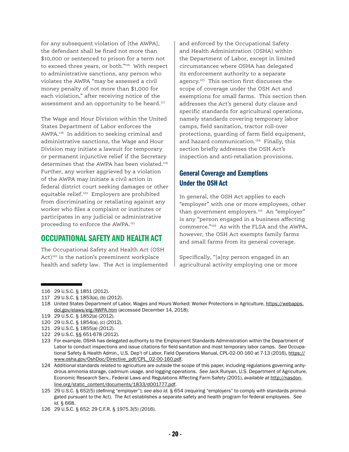for any subsequent violation of [the AWPA], the defendant shall be fined not more than \$10,000 or sentenced to prison for a term not to exceed three years, or both."116 With respect to administrative sanctions, any person who violates the AWPA "may be assessed a civil money penalty of not more than \$1,000 for each violation," after receiving notice of the assessment and an opportunity to be heard.<sup>117</sup>

The Wage and Hour Division within the United States Department of Labor enforces the AWPA.118 In addition to seeking criminal and administrative sanctions, the Wage and Hour Division may initiate a lawsuit for temporary or permanent injunctive relief if the Secretary determines that the AWPA has been violated.<sup>119</sup> Further, any worker aggrieved by a violation of the AWPA may initiate a civil action in federal district court seeking damages or other equitable relief.120 Employers are prohibited from discriminating or retaliating against any worker who files a complaint or institutes or participates in any judicial or administrative proceeding to enforce the AWPA.121

### OCCUPATIONAL SAFETY AND HEALTH ACT

The Occupational Safety and Health Act (OSH Act)<sup>122</sup> is the nation's preeminent workplace health and safety law. The Act is implemented

and enforced by the Occupational Safety and Health Administration (OSHA) within the Department of Labor, except in limited circumstances where OSHA has delegated its enforcement authority to a separate agency.123 This section first discusses the scope of coverage under the OSH Act and exemptions for small farms. This section then addresses the Act's general duty clause and specific standards for agricultural operations, namely standards covering temporary labor camps, field sanitation, tractor roll-over protections, guarding of farm field equipment, and hazard communication.<sup>124</sup> Finally, this section briefly addresses the OSH Act's inspection and anti-retaliation provisions.

### General Coverage and Exemptions Under the OSH Act

In general, the OSH Act applies to each "employer" with one or more employees, other than government employers.125 An "employer" is any "person engaged in a business affecting commerce."126 As with the FLSA and the AWPA, however, the OSH Act exempts family farms and small farms from its general coverage.

Specifically, "[a]ny person engaged in an agricultural activity employing one or more

<sup>116</sup> 29 U.S.C. § 1851 (2012).

<sup>117</sup> 29 U.S.C. § 1853(a), (b) (2012).

<sup>118</sup> United States Department of Labor, Wages and Hours Worked: Worker Protections in Agriculture, https://webapps. dol.gov/elaws/elg/AWPA.htm (accessed December 14, 2018).

<sup>119</sup> 29 U.S.C. § 1852(a) (2012).

<sup>120</sup> 29 U.S.C. § 1854(a), (c) (2012).

<sup>121</sup> 29 U.S.C. § 1855(a) (2012).

<sup>122</sup> 29 U.S.C. §§ 651-678 (2012).

<sup>123</sup> For example, OSHA has delegated authority to the Employment Standards Administration within the Department of Labor to conduct inspections and issue citations for field sanitation and most temporary labor camps. *See* Occupational Safety & Health Admin., U.S. Dep't of Labor, Field Operations Manual, CPL-02-00-160 at 7-13 (2016), https:// www.osha.gov/OshDoc/Directive\_pdf/CPL\_02-00-160.pdf.

<sup>124</sup> Additional standards related to agriculture are outside the scope of this paper, including regulations governing anhydrous ammonia storage, cadmium usage, and logging operations. *See* Jack Runyan, U.S. Department of Agriculture, Economic Research Serv., Federal Laws and Regulations Affecting Farm Safety (2001), *available at* http://nasdonline.org/static\_content/documents/1833/d001777.pdf.

<sup>125</sup> 29 U.S.C. § 652(5) (defining "employer"); *see also id.* § 654 (requiring "employers" to comply with standards promulgated pursuant to the Act). The Act establishes a separate safety and health program for federal employees. *See id.* § 668.

<sup>126</sup> 29 U.S.C. § 652; 29 C.F.R. § 1975.3(5) (2016).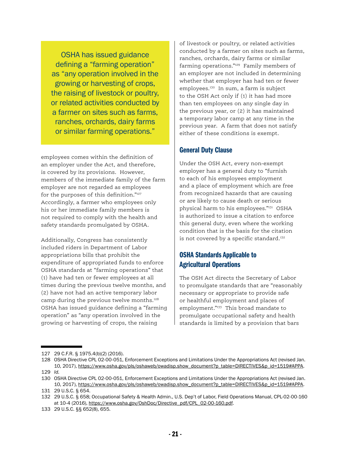OSHA has issued guidance defining a "farming operation" as "any operation involved in the growing or harvesting of crops, the raising of livestock or poultry, or related activities conducted by a farmer on sites such as farms, ranches, orchards, dairy farms or similar farming operations."

employees comes within the definition of an employer under the Act, and therefore, is covered by its provisions. However, members of the immediate family of the farm employer are not regarded as employees for the purposes of this definition."<sup>127</sup> Accordingly, a farmer who employees only his or her immediate family members is not required to comply with the health and safety standards promulgated by OSHA.

Additionally, Congress has consistently included riders in Department of Labor appropriations bills that prohibit the expenditure of appropriated funds to enforce OSHA standards at "farming operations" that (1) have had ten or fewer employees at all times during the previous twelve months, and (2) have not had an active temporary labor camp during the previous twelve months.<sup>128</sup> OSHA has issued guidance defining a "farming operation" as "any operation involved in the growing or harvesting of crops, the raising

of livestock or poultry, or related activities conducted by a farmer on sites such as farms, ranches, orchards, dairy farms or similar farming operations."129 Family members of an employer are not included in determining whether that employer has had ten or fewer employees.<sup>130</sup> In sum, a farm is subject to the OSH Act only if (1) it has had more than ten employees on any single day in the previous year, or (2) it has maintained a temporary labor camp at any time in the previous year. A farm that does not satisfy either of these conditions is exempt.

#### General Duty Clause

Under the OSH Act, every non-exempt employer has a general duty to "furnish to each of his employees employment and a place of employment which are free from recognized hazards that are causing or are likely to cause death or serious physical harm to his employees."131 OSHA is authorized to issue a citation to enforce this general duty, even where the working condition that is the basis for the citation is not covered by a specific standard.<sup>132</sup>

## OSHA Standards Applicable to Agricultural Operations

The OSH Act directs the Secretary of Labor to promulgate standards that are "reasonably necessary or appropriate to provide safe or healthful employment and places of employment."<sup>133</sup> This broad mandate to promulgate occupational safety and health standards is limited by a provision that bars

<sup>127</sup> 29 C.F.R. § 1975.4(b)(2) (2016).

<sup>128</sup> OSHA Directive CPL 02-00-051, Enforcement Exceptions and Limitations Under the Appropriations Act (revised Jan. 10, 2017), https://www.osha.gov/pls/oshaweb/owadisp.show\_document?p\_table=DIRECTIVES&p\_id=1519#APPA. 129 *Id.* 

<sup>130</sup> OSHA Directive CPL 02-00-051, Enforcement Exceptions and Limitations Under the Appropriations Act (revised Jan. 10, 2017), https://www.osha.gov/pls/oshaweb/owadisp.show\_document?p\_table=DIRECTIVES&p\_id=1519#APPA.

<sup>131</sup> 29 U.S.C. § 654.

<sup>132</sup> 29 U.S.C. § 658; Occupational Safety & Health Admin., U.S. Dep't of Labor, Field Operations Manual, CPL-02-00-160 at 10-4 (2016), https://www.osha.gov/OshDoc/Directive\_pdf/CPL\_02-00-160.pdf.

<sup>133</sup> 29 U.S.C. §§ 652(8), 655.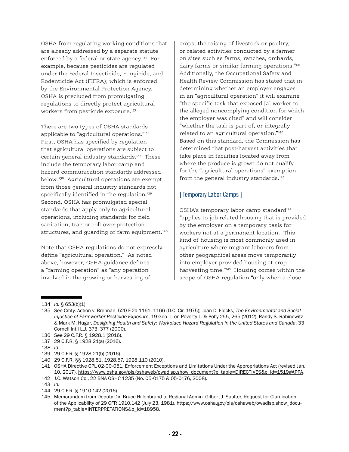OSHA from regulating working conditions that are already addressed by a separate statute enforced by a federal or state agency.<sup>134</sup> For example, because pesticides are regulated under the Federal Insecticide, Fungicide, and Rodenticide Act (FIFRA), which is enforced by the Environmental Protection Agency, OSHA is precluded from promulgating regulations to directly protect agricultural workers from pesticide exposure.<sup>135</sup>

There are two types of OSHA standards applicable to "agricultural operations."136 First, OSHA has specified by regulation that agricultural operations are subject to certain general industry standards.<sup>137</sup> These include the temporary labor camp and hazard communication standards addressed below. <sup>138</sup> Agricultural operations are exempt from those general industry standards not specifically identified in the regulation.<sup>139</sup> Second, OSHA has promulgated special standards that apply only to agricultural operations, including standards for field sanitation, tractor roll-over protection structures, and guarding of farm equipment.<sup>140</sup>

Note that OSHA regulations do not expressly define "agricultural operation." As noted above, however, OSHA guidance defines a "farming operation" as "any operation involved in the growing or harvesting of

crops, the raising of livestock or poultry, or related activities conducted by a farmer on sites such as farms, ranches, orchards, dairy farms or similar farming operations."141 Additionally, the Occupational Safety and Health Review Commission has stated that in determining whether an employer engages in an "agricultural operation" it will examine "the specific task that exposed [a] worker to the alleged noncomplying condition for which the employer was cited" and will consider "whether the task is part of, or integrally related to an agricultural operation."142 Based on this standard, the Commission has determined that post-harvest activities that take place in facilities located away from where the produce is grown do not qualify for the "agricultural operations" exemption from the general industry standards.<sup>143</sup>

#### [ Temporary Labor Camps ]

OSHA's temporary labor camp standard<sup>144</sup> "applies to job related housing that is provided by the employer on a temporary basis for workers not at a permanent location. This kind of housing is most commonly used in agriculture where migrant laborers from other geographical areas move temporarily into employer provided housing at crop harvesting time."145 Housing comes within the scope of OSHA regulation "only when a close

- 142 J.C. Watson Co., 22 BNA OSHC 1235 (No. 05-0175 & 05-0176, 2008).
- 143 *Id.*
- 144 29 C.F.R. § 1910.142 (2016).
- 145 Memorandum from Deputy Dir. Bruce Hillenbrand to Regional Admin. Gilbert J. Saulter, Request for Clarification of the Applicability of 29 CFR 1910.142 (July 23, 1981), https://www.osha.gov/pls/oshaweb/owadisp.show\_document?p\_table=INTERPRETATIONS&p\_id=18958.

<sup>134</sup> *Id.* § 653(b)(1).

<sup>135</sup> *See* Cmty. Action v. Brennan, 520 F.2d 1161, 1166 (D.C. Cir. 1975); Joan D. Flocks, *The Environmental and Social Injustice of Farmworker Pesticide Exposure*, 19 Geo. J. on Poverty L. & Pol'y 255, 265 (2012); Randy S. Rabinowitz & Mark M. Hagar, *Designing Health and Safety: Workplace Hazard Regulation in the United States and Canada*, 33 Cornell Int'l L.J. 373, 377 (2000).

<sup>136</sup> *See* 29 C.F.R. § 1928.1 (2016).

<sup>137</sup> 29 C.F.R. § 1928.21(a) (2016).

<sup>138</sup> *Id.*

<sup>139</sup> 29 C.F.R. § 1928.21(b) (2016).

<sup>140</sup> 29 C.F.R. §§ 1928.51, 1928.57, 1928.110 (2010).

<sup>141</sup> OSHA Directive CPL 02-00-051, Enforcement Exceptions and Limitations Under the Appropriations Act (revised Jan. 10, 2017), https://www.osha.gov/pls/oshaweb/owadisp.show\_document?p\_table=DIRECTIVES&p\_id=1519#APPA.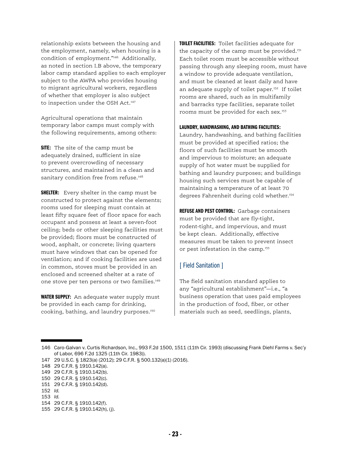relationship exists between the housing and the employment, namely, when housing is a condition of employment."146 Additionally, as noted in section I.B above, the temporary labor camp standard applies to each employer subject to the AWPA who provides housing to migrant agricultural workers, regardless of whether that employer is also subject to inspection under the OSH Act.<sup>147</sup>

Agricultural operations that maintain temporary labor camps must comply with the following requirements, among others:

**SITE:** The site of the camp must be adequately drained, sufficient in size to prevent overcrowding of necessary structures, and maintained in a clean and sanitary condition free from refuse.<sup>148</sup>

**SHELTER:** Every shelter in the camp must be constructed to protect against the elements; rooms used for sleeping must contain at least fifty square feet of floor space for each occupant and possess at least a seven-foot ceiling; beds or other sleeping facilities must be provided; floors must be constructed of wood, asphalt, or concrete; living quarters must have windows that can be opened for ventilation; and if cooking facilities are used in common, stoves must be provided in an enclosed and screened shelter at a rate of one stove per ten persons or two families.149

**WATER SUPPLY:** An adequate water supply must be provided in each camp for drinking, cooking, bathing, and laundry purposes.150

TOILET FACILITIES: Toilet facilities adequate for the capacity of the camp must be provided.<sup>151</sup> Each toilet room must be accessible without passing through any sleeping room, must have a window to provide adequate ventilation, and must be cleaned at least daily and have an adequate supply of toilet paper.<sup>152</sup> If toilet rooms are shared, such as in multifamily and barracks type facilities, separate toilet rooms must be provided for each sex.153

#### LAUNDRY, HANDWASHING, AND BATHING FACILITIES:

Laundry, handwashing, and bathing facilities must be provided at specified ratios; the floors of such facilities must be smooth and impervious to moisture; an adequate supply of hot water must be supplied for bathing and laundry purposes; and buildings housing such services must be capable of maintaining a temperature of at least 70 degrees Fahrenheit during cold whether.154

REFUSE AND PEST CONTROL: Garbage containers must be provided that are fly-tight, rodent-tight, and impervious, and must be kept clean. Additionally, effective measures must be taken to prevent insect or pest infestation in the camp.155

#### [ Field Sanitation ]

The field sanitation standard applies to any "agricultural establishment"—i.e., "a business operation that uses paid employees in the production of food, fiber, or other materials such as seed, seedlings, plants,

<sup>146</sup> Caro-Galvan v. Curtis Richardson, Inc., 993 F.2d 1500, 1511 (11th Cir. 1993) (discussing Frank Diehl Farms v. Sec'y of Labor, 696 F.2d 1325 (11th Cir. 1983)).

<sup>147</sup> 29 U.S.C. § 1823(a) (2012); 29 C.F.R. § 500.132(a)(1) (2016).

<sup>148</sup> 29 C.F.R. § 1910.142(a).

<sup>149</sup> 29 C.F.R. § 1910.142(b).

<sup>150</sup> 29 C.F.R. § 1910.142(c).

<sup>151</sup> 29 C.F.R. § 1910.142(d).

<sup>152</sup> *Id.*

<sup>153</sup> *Id.*

<sup>154</sup> 29 C.F.R. § 1910.142(f).

<sup>155</sup> 29 C.F.R. § 1910.142(h), (j).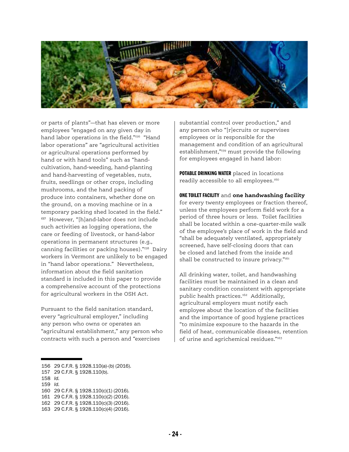

or parts of plants"—that has eleven or more employees "engaged on any given day in hand labor operations in the field."156 "Hand labor operations" are "agricultural activities or agricultural operations performed by hand or with hand tools" such as "handcultivation, hand-weeding, hand-planting and hand-harvesting of vegetables, nuts, fruits, seedlings or other crops, including mushrooms, and the hand packing of produce into containers, whether done on the ground, on a moving machine or in a temporary packing shed located in the field." <sup>157</sup> However, "[h]and-labor does not include such activities as logging operations, the care or feeding of livestock, or hand-labor operations in permanent structures (e.g., canning facilities or packing houses)."158 Dairy workers in Vermont are unlikely to be engaged in "hand labor operations." Nevertheless, information about the field sanitation standard is included in this paper to provide a comprehensive account of the protections for agricultural workers in the OSH Act.

Pursuant to the field sanitation standard, every "agricultural employer," including any person who owns or operates an "agricultural establishment," any person who contracts with such a person and "exercises

substantial control over production," and any person who "[r]ecruits or supervises employees or is responsible for the management and condition of an agricultural establishment,"159 must provide the following for employees engaged in hand labor:

POTABLE DRINKING WATER placed in locations readily accessible to all employees.<sup>160</sup>

ONE TOILET FACILITY and **one handwashing facility** for every twenty employees or fraction thereof, unless the employees perform field work for a period of three hours or less. Toilet facilities shall be located within a one-quarter-mile walk of the employee's place of work in the field and "shall be adequately ventilated, appropriately screened, have self-closing doors that can be closed and latched from the inside and shall be constructed to insure privacy."161

All drinking water, toilet, and handwashing facilities must be maintained in a clean and sanitary condition consistent with appropriate public health practices.162 Additionally, agricultural employers must notify each employee about the location of the facilities and the importance of good hygiene practices "to minimize exposure to the hazards in the field of heat, communicable diseases, retention of urine and agrichemical residues."163

160 29 C.F.R. § 1928.110(c)(1) (2016).

<sup>156</sup> 29 C.F.R. § 1928.110(a)-(b) (2016).

<sup>157</sup> 29 C.F.R. § 1928.110(b).

<sup>158</sup> *Id.*

<sup>159</sup> *Id.*

<sup>161</sup> 29 C.F.R. § 1928.110(c)(2) (2016).

<sup>162</sup> 29 C.F.R. § 1928.110(c)(3) (2016).

<sup>163</sup> 29 C.F.R. § 1928.110(c)(4) (2016).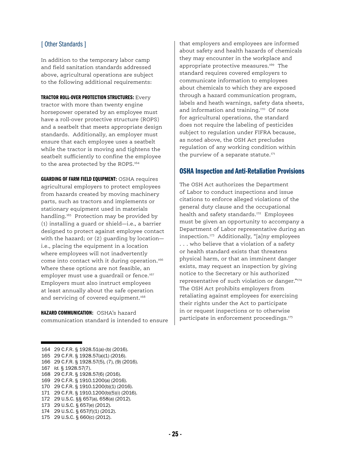#### [ Other Standards ]

In addition to the temporary labor camp and field sanitation standards addressed above, agricultural operations are subject to the following additional requirements:

TRACTOR ROLL-OVER PROTECTION STRUCTURES: Every tractor with more than twenty engine horsepower operated by an employee must have a roll-over protective structure (ROPS) and a seatbelt that meets appropriate design standards. Additionally, an employer must ensure that each employee uses a seatbelt while the tractor is moving and tightens the seatbelt sufficiently to confine the employee to the area protected by the ROPS.<sup>164</sup>

GUARDING OF FARM FIELD EQUIPMENT: OSHA requires agricultural employers to protect employees from hazards created by moving machinery parts, such as tractors and implements or stationary equipment used in materials handling.<sup>165</sup> Protection may be provided by (1) installing a guard or shield—i.e., a barrier designed to protect against employee contact with the hazard; or (2) guarding by location i.e., placing the equipment in a location where employees will not inadvertently come into contact with it during operation.<sup>166</sup> Where these options are not feasible, an employer must use a quardrail or fence.<sup>167</sup> Employers must also instruct employees at least annually about the safe operation and servicing of covered equipment.<sup>168</sup>

HAZARD COMMUNICATION: OSHA's hazard communication standard is intended to ensure

that employers and employees are informed about safety and health hazards of chemicals they may encounter in the workplace and appropriate protective measures.169 The standard requires covered employers to communicate information to employees about chemicals to which they are exposed through a hazard communication program, labels and heath warnings, safety data sheets, and information and training.170 Of note for agricultural operations, the standard does not require the labeling of pesticides subject to regulation under FIFRA because, as noted above, the OSH Act precludes regulation of any working condition within the purview of a separate statute.<sup>171</sup>

#### OSHA Inspection and Anti-Retaliation Provisions

The OSH Act authorizes the Department of Labor to conduct inspections and issue citations to enforce alleged violations of the general duty clause and the occupational health and safety standards.<sup>172</sup> Employees must be given an opportunity to accompany a Department of Labor representative during an inspection.173 Additionally, "[a]ny employees . . . who believe that a violation of a safety or health standard exists that threatens physical harm, or that an imminent danger exists, may request an inspection by giving notice to the Secretary or his authorized representative of such violation or danger."174 The OSH Act prohibits employers from retaliating against employees for exercising their rights under the Act to participate in or request inspections or to otherwise participate in enforcement proceedings.175

<sup>164</sup> 29 C.F.R. § 1928.51(a)-(b) (2016).

<sup>165</sup> 29 C.F.R. § 1928.57(a)(1) (2016).

<sup>166</sup> 29 C.F.R. § 1928.57(5), (7), (9) (2016).

<sup>167</sup> *Id.* § 1928.57(7).

<sup>168</sup> 29 C.F.R. § 1928.57(6) (2016).

<sup>169</sup> 29 C.F.R. § 1910.1200(a) (2016).

<sup>170</sup> 29 C.F.R. § 1910.1200(b)(1) (2016).

<sup>171</sup> 29 C.F.R. § 1910.1200(b)(5)(i) (2016).

<sup>172</sup> 29 U.S.C. §§ 657(a), 658(a) (2012).

<sup>173</sup> 29 U.S.C. § 657(e) (2012).

<sup>174</sup> 29 U.S.C. § 657(f)(1) (2012).

<sup>175</sup> 29 U.S.C. § 660(c) (2012).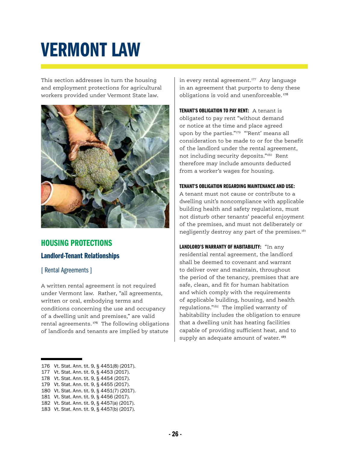## VERMONT LAW

This section addresses in turn the housing and employment protections for agricultural workers provided under Vermont State law.



## HOUSING PROTECTIONS Landlord-Tenant Relationships

#### [ Rental Agreements ]

A written rental agreement is not required under Vermont law. Rather, "all agreements, written or oral, embodying terms and conditions concerning the use and occupancy of a dwelling unit and premises," are valid rental agreements.<sup>176</sup> The following obligations of landlords and tenants are implied by statute

in every rental agreement.<sup>177</sup> Any language in an agreement that purports to deny these obligations is void and unenforceable. <sup>178</sup>

TENANT'S OBLIGATION TO PAY RENT: A tenant is obligated to pay rent "without demand or notice at the time and place agreed upon by the parties."<sup>179</sup> "'Rent' means all consideration to be made to or for the benefit of the landlord under the rental agreement, not including security deposits."180 Rent therefore may include amounts deducted from a worker's wages for housing.

#### TENANT'S OBLIGATION REGARDING MAINTENANCE AND USE:

A tenant must not cause or contribute to a dwelling unit's noncompliance with applicable building health and safety regulations, must not disturb other tenants' peaceful enjoyment of the premises, and must not deliberately or negligently destroy any part of the premises.<sup>181</sup>

LANDLORD'S WARRANTY OF HABITABILITY: "In any residential rental agreement, the landlord shall be deemed to covenant and warrant to deliver over and maintain, throughout the period of the tenancy, premises that are safe, clean, and fit for human habitation and which comply with the requirements of applicable building, housing, and health regulations."182 The implied warranty of habitability includes the obligation to ensure that a dwelling unit has heating facilities capable of providing sufficient heat, and to supply an adequate amount of water.<sup>183</sup>

- 180 Vt. Stat. Ann. tit. 9, § 4451(7) (2017).
- 181 Vt. Stat. Ann. tit. 9, § 4456 (2017).

<sup>176</sup> Vt. Stat. Ann. tit. 9, § 4451(8) (2017).

<sup>177</sup> Vt. Stat. Ann. tit. 9, § 4453 (2017).

<sup>178</sup> Vt. Stat. Ann. tit. 9, § 4454 (2017).

<sup>179</sup> Vt. Stat. Ann. tit. 9, § 4455 (2017).

<sup>182</sup> Vt. Stat. Ann. tit. 9, § 4457(a) (2017).

<sup>183</sup> Vt. Stat. Ann. tit. 9, § 4457(b) (2017).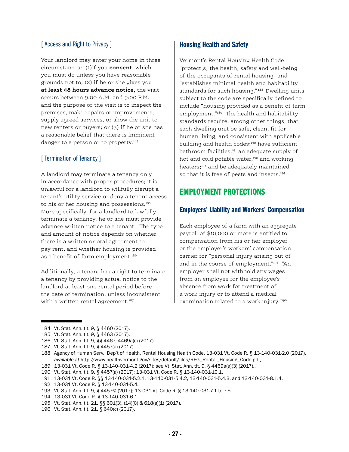#### [ Access and Right to Privacy ]

Your landlord may enter your home in three circumstances: (1)if you **consent**, which you must do unless you have reasonable grounds not to; (2) if he or she gives you **at least 48 hours advance notice,** the visit occurs between 9:00 A.M. and 9:00 P.M., and the purpose of the visit is to inspect the premises, make repairs or improvements, supply agreed services, or show the unit to new renters or buyers; or (3) if he or she has a reasonable belief that there is imminent danger to a person or to property.<sup>184</sup>

#### [ Termination of Tenancy ]

A landlord may terminate a tenancy only in accordance with proper procedures; it is unlawful for a landlord to willfully disrupt a tenant's utility service or deny a tenant access to his or her housing and possessions.<sup>185</sup> More specifically, for a landlord to lawfully terminate a tenancy, he or she must provide advance written notice to a tenant. The type and amount of notice depends on whether there is a written or oral agreement to pay rent, and whether housing is provided as a benefit of farm employment.<sup>186</sup>

Additionally, a tenant has a right to terminate a tenancy by providing actual notice to the landlord at least one rental period before the date of termination, unless inconsistent with a written rental agreement.<sup>187</sup>

#### Housing Health and Safety

Vermont's Rental Housing Health Code "protect[s] the health, safety and well-being of the occupants of rental housing" and "establishes minimal health and habitability standards for such housing." <sup>188</sup> Dwelling units subject to the code are specifically defined to include "housing provided as a benefit of farm employment."189 The health and habitability standards require, among other things, that each dwelling unit be safe, clean, fit for human living, and consistent with applicable building and health codes;<sup>190</sup> have sufficient bathroom facilities,191 an adequate supply of hot and cold potable water,<sup>192</sup> and working heaters;<sup>193</sup> and be adequately maintained so that it is free of pests and insects.<sup>194</sup>

### EMPLOYMENT PROTECTIONS

#### Employers' Liability and Workers' Compensation

Each employee of a farm with an aggregate payroll of \$10,000 or more is entitled to compensation from his or her employer or the employer's workers' compensation carrier for "personal injury arising out of and in the course of employment."195 "An employer shall not withhold any wages from an employee for the employee's absence from work for treatment of a work injury or to attend a medical examination related to a work injury."196

184 Vt. Stat. Ann. tit. 9, § 4460 (2017).

- 186 Vt. Stat. Ann. tit. 9, §§ 4467, 4469a(c) (2017).
- 187 Vt. Stat. Ann. tit. 9, § 4457(a) (2017).

- 189 13-031 Vt. Code R. § 13-140-031-4.2 (2017); *see* Vt. Stat. Ann. tit. 9, § 4469a(a)(3) (2017)..
- 190 Vt. Stat. Ann. tit. 9, § 4457(a) (2017); 13-031 Vt. Code R. § 13-140-031-10.1.
- 191 13-031 Vt. Code R. §§ 13-140-031-5.2.1, 13-140-031-5.4.2, 13-140-031-5.4.3, and 13-140-031-8.1.4.
- 192 13-031 Vt. Code R. § 13-140-031-5.4.
- 193 Vt. Stat. Ann. tit. 9, § 4457© (2017); 13-031 Vt. Code R. § 13-140-031-7.1 to 7.5.
- 194 13-031 Vt. Code R. § 13-140-031-6.1.
- 195 Vt. Stat. Ann. tit. 21, §§ 601(3), (14)(C) & 618(a)(1) (2017).
- 196 Vt. Stat. Ann. tit. 21, § 640(c) (2017).

<sup>185</sup> Vt. Stat. Ann. tit. 9, § 4463 (2017).

<sup>188</sup> Agency of Human Serv., Dep't of Health, Rental Housing Health Code, 13-031 Vt. Code R. § 13-140-031-2.0 (2017), *available at* http://www.healthvermont.gov/sites/default/files/REG\_Rental\_Housing\_Code.pdf.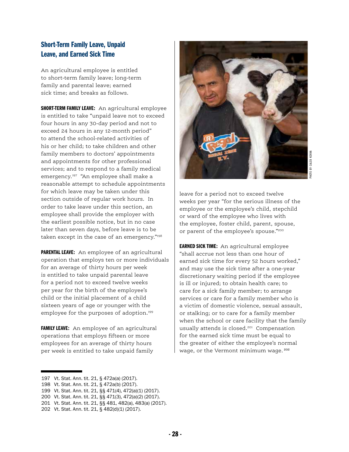### Short-Term Family Leave, Unpaid Leave, and Earned Sick Time

An agricultural employee is entitled to short-term family leave; long-term family and parental leave; earned sick time; and breaks as follows.

SHORT-TERM FAMILY LEAVE: An agricultural employee is entitled to take "unpaid leave not to exceed four hours in any 30-day period and not to exceed 24 hours in any 12-month period" to attend the school-related activities of his or her child; to take children and other family members to doctors' appointments and appointments for other professional services; and to respond to a family medical emergency.<sup>197</sup> "An employee shall make a reasonable attempt to schedule appointments for which leave may be taken under this section outside of regular work hours. In order to take leave under this section, an employee shall provide the employer with the earliest possible notice, but in no case later than seven days, before leave is to be taken except in the case of an emergency."198

PARENTAL LEAVE: An employee of an agricultural operation that employs ten or more individuals for an average of thirty hours per week is entitled to take unpaid parental leave for a period not to exceed twelve weeks per year for the birth of the employee's child or the initial placement of a child sixteen years of age or younger with the employee for the purposes of adoption.<sup>199</sup>

**FAMILY LEAVE:** An employee of an agricultural operations that employs fifteen or more employees for an average of thirty hours per week is entitled to take unpaid family



leave for a period not to exceed twelve weeks per year "for the serious illness of the employee or the employee's child, stepchild or ward of the employee who lives with the employee, foster child, parent, spouse, or parent of the employee's spouse."200

EARNED SICK TIME: An agricultural employee "shall accrue not less than one hour of earned sick time for every 52 hours worked," and may use the sick time after a one-year discretionary waiting period if the employee is ill or injured; to obtain health care; to care for a sick family member; to arrange services or care for a family member who is a victim of domestic violence, sexual assault, or stalking; or to care for a family member when the school or care facility that the family usually attends is closed.<sup>201</sup> Compensation for the earned sick time must be equal to the greater of either the employee's normal wage, or the Vermont minimum wage.<sup>202</sup>

<sup>197</sup> Vt. Stat. Ann. tit. 21, § 472a(a) (2017).

<sup>198</sup> Vt. Stat. Ann. tit. 21, § 472a(b) (2017).

<sup>199</sup> Vt. Stat. Ann. tit. 21, §§ 471(4), 472(a)(1) (2017).

<sup>200</sup> Vt. Stat. Ann. tit. 21, §§ 471(3), 472(a)(2) (2017).

<sup>201</sup> Vt. Stat. Ann. tit. 21, §§ 481, 482(a), 483(a) (2017).

<sup>202</sup> Vt. Stat. Ann. tit. 21, § 482(d)(1) (2017).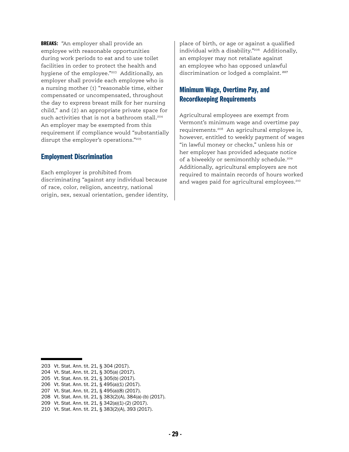**BREAKS:** "An employer shall provide an employee with reasonable opportunities during work periods to eat and to use toilet facilities in order to protect the health and hygiene of the employee."203 Additionally, an employer shall provide each employee who is a nursing mother (1) "reasonable time, either compensated or uncompensated, throughout the day to express breast milk for her nursing child," and (2) an appropriate private space for such activities that is not a bathroom stall.<sup>204</sup> An employer may be exempted from this requirement if compliance would "substantially disrupt the employer's operations."205

#### Employment Discrimination

Each employer is prohibited from discriminating "against any individual because of race, color, religion, ancestry, national origin, sex, sexual orientation, gender identity, place of birth, or age or against a qualified individual with a disability."206 Additionally, an employer may not retaliate against an employee who has opposed unlawful discrimination or lodged a complaint.<sup>207</sup>

#### Minimum Wage, Overtime Pay, and Recordkeeping Requirements

Agricultural employees are exempt from Vermont's minimum wage and overtime pay requirements.208 An agricultural employee is, however, entitled to weekly payment of wages "in lawful money or checks," unless his or her employer has provided adequate notice of a biweekly or semimonthly schedule.<sup>209</sup> Additionally, agricultural employers are not required to maintain records of hours worked and wages paid for agricultural employees.<sup>210</sup>

<sup>203</sup> Vt. Stat. Ann. tit. 21, § 304 (2017).

<sup>204</sup> Vt. Stat. Ann. tit. 21, § 305(a) (2017).

<sup>205</sup> Vt. Stat. Ann. tit. 21, § 305(b) (2017).

<sup>206</sup> Vt. Stat. Ann. tit. 21, § 495(a)(1) (2017).

<sup>207</sup> Vt. Stat. Ann. tit. 21, § 495(a)(8) (2017).

<sup>208</sup> Vt. Stat. Ann. tit. 21, § 383(2)(A), 384(a)-(b) (2017).

<sup>209</sup> Vt. Stat. Ann. tit. 21, § 342(a)(1)-(2) (2017).

<sup>210</sup> Vt. Stat. Ann. tit. 21, § 383(2)(A), 393 (2017).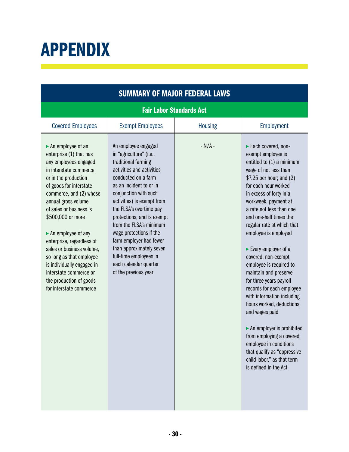## APPENDIX

| <b>SUMMARY OF MAJOR FEDERAL LAWS</b>                                                                                                                                                                                                                                                                                                                                                                                                                                                                                       |                                                                                                                                                                                                                                                                                                                                                                                                                                                              |                |                                                                                                                                                                                                                                                                                                                                                                                                                                                                                                                                                                                                                                                                                                                                                                               |  |  |  |
|----------------------------------------------------------------------------------------------------------------------------------------------------------------------------------------------------------------------------------------------------------------------------------------------------------------------------------------------------------------------------------------------------------------------------------------------------------------------------------------------------------------------------|--------------------------------------------------------------------------------------------------------------------------------------------------------------------------------------------------------------------------------------------------------------------------------------------------------------------------------------------------------------------------------------------------------------------------------------------------------------|----------------|-------------------------------------------------------------------------------------------------------------------------------------------------------------------------------------------------------------------------------------------------------------------------------------------------------------------------------------------------------------------------------------------------------------------------------------------------------------------------------------------------------------------------------------------------------------------------------------------------------------------------------------------------------------------------------------------------------------------------------------------------------------------------------|--|--|--|
| <b>Fair Labor Standards Act</b>                                                                                                                                                                                                                                                                                                                                                                                                                                                                                            |                                                                                                                                                                                                                                                                                                                                                                                                                                                              |                |                                                                                                                                                                                                                                                                                                                                                                                                                                                                                                                                                                                                                                                                                                                                                                               |  |  |  |
| <b>Covered Employees</b>                                                                                                                                                                                                                                                                                                                                                                                                                                                                                                   | <b>Exempt Employees</b>                                                                                                                                                                                                                                                                                                                                                                                                                                      | <b>Housing</b> | Employment                                                                                                                                                                                                                                                                                                                                                                                                                                                                                                                                                                                                                                                                                                                                                                    |  |  |  |
| $\blacktriangleright$ An employee of an<br>enterprise (1) that has<br>any employees engaged<br>in interstate commerce<br>or in the production<br>of goods for interstate<br>commerce, and (2) whose<br>annual gross volume<br>of sales or business is<br>\$500,000 or more<br>$\blacktriangleright$ An employee of any<br>enterprise, regardless of<br>sales or business volume,<br>so long as that employee<br>is individually engaged in<br>interstate commerce or<br>the production of goods<br>for interstate commerce | An employee engaged<br>in "agriculture" (i.e.,<br>traditional farming<br>activities and activities<br>conducted on a farm<br>as an incident to or in<br>conjunction with such<br>activities) is exempt from<br>the FLSA's overtime pay<br>protections, and is exempt<br>from the FLSA's minimum<br>wage protections if the<br>farm employer had fewer<br>than approximately seven<br>full-time employees in<br>each calendar quarter<br>of the previous year | $- N/A -$      | Each covered, non-<br>exempt employee is<br>entitled to (1) a minimum<br>wage of not less than<br>\$7.25 per hour; and (2)<br>for each hour worked<br>in excess of forty in a<br>workweek, payment at<br>a rate not less than one<br>and one-half times the<br>regular rate at which that<br>employee is employed<br>$\blacktriangleright$ Every employer of a<br>covered, non-exempt<br>employee is required to<br>maintain and preserve<br>for three years payroll<br>records for each employee<br>with information including<br>hours worked, deductions,<br>and wages paid<br>$\blacktriangleright$ An employer is prohibited<br>from employing a covered<br>employee in conditions<br>that qualify as "oppressive<br>child labor," as that term<br>is defined in the Act |  |  |  |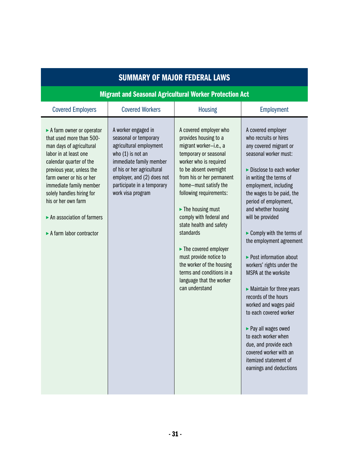| <b>SUMMARY OF MAJOR FEDERAL LAWS</b>                                                                                                                                                                                                                                                                                                 |                                                                                                                                                                                                                                          |                                                                                                                                                                                                                                                                                                                                                                                                                                                                                                                                      |                                                                                                                                                                                                                                                                                                                                                                                                                                                                                                                                                                                                                                                                                                          |  |  |
|--------------------------------------------------------------------------------------------------------------------------------------------------------------------------------------------------------------------------------------------------------------------------------------------------------------------------------------|------------------------------------------------------------------------------------------------------------------------------------------------------------------------------------------------------------------------------------------|--------------------------------------------------------------------------------------------------------------------------------------------------------------------------------------------------------------------------------------------------------------------------------------------------------------------------------------------------------------------------------------------------------------------------------------------------------------------------------------------------------------------------------------|----------------------------------------------------------------------------------------------------------------------------------------------------------------------------------------------------------------------------------------------------------------------------------------------------------------------------------------------------------------------------------------------------------------------------------------------------------------------------------------------------------------------------------------------------------------------------------------------------------------------------------------------------------------------------------------------------------|--|--|
| <b>Migrant and Seasonal Agricultural Worker Protection Act</b>                                                                                                                                                                                                                                                                       |                                                                                                                                                                                                                                          |                                                                                                                                                                                                                                                                                                                                                                                                                                                                                                                                      |                                                                                                                                                                                                                                                                                                                                                                                                                                                                                                                                                                                                                                                                                                          |  |  |
| <b>Covered Employers</b>                                                                                                                                                                                                                                                                                                             | <b>Covered Workers</b>                                                                                                                                                                                                                   | <b>Housing</b>                                                                                                                                                                                                                                                                                                                                                                                                                                                                                                                       | <b>Employment</b>                                                                                                                                                                                                                                                                                                                                                                                                                                                                                                                                                                                                                                                                                        |  |  |
| A farm owner or operator<br>that used more than 500-<br>man days of agricultural<br>labor in at least one<br>calendar quarter of the<br>previous year, unless the<br>farm owner or his or her<br>immediate family member<br>solely handles hiring for<br>his or her own farm<br>An association of farmers<br>A farm labor contractor | A worker engaged in<br>seasonal or temporary<br>agricultural employment<br>who $(1)$ is not an<br>immediate family member<br>of his or her agricultural<br>employer, and (2) does not<br>participate in a temporary<br>work visa program | A covered employer who<br>provides housing to a<br>migrant worker-i.e., a<br>temporary or seasonal<br>worker who is required<br>to be absent overnight<br>from his or her permanent<br>home-must satisfy the<br>following requirements:<br>$\blacktriangleright$ The housing must<br>comply with federal and<br>state health and safety<br>standards<br>$\blacktriangleright$ The covered employer<br>must provide notice to<br>the worker of the housing<br>terms and conditions in a<br>language that the worker<br>can understand | A covered employer<br>who recruits or hires<br>any covered migrant or<br>seasonal worker must:<br>Disclose to each worker<br>in writing the terms of<br>employment, including<br>the wages to be paid, the<br>period of employment,<br>and whether housing<br>will be provided<br>Comply with the terms of<br>the employment agreement<br>▶ Post information about<br>workers' rights under the<br>MSPA at the worksite<br>$\blacktriangleright$ Maintain for three years<br>records of the hours<br>worked and wages paid<br>to each covered worker<br>Pay all wages owed<br>to each worker when<br>due, and provide each<br>covered worker with an<br>itemized statement of<br>earnings and deductions |  |  |

 $-31 -$